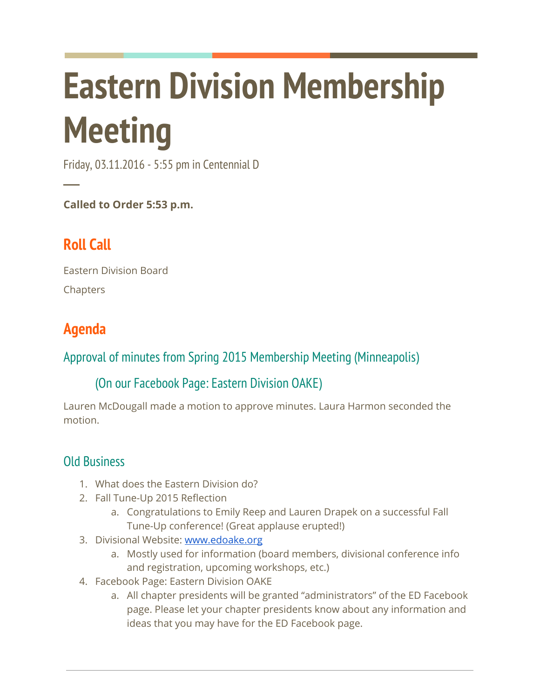# Eastern Division Membership **Meeting**

Friday, 03.11.2016 - 5:55 pm in Centennial D

Called to Order 5:53 p.m.

## Roll Call

─

Eastern Division Board Chapters

## Agenda

### Approval of minutes from Spring 2015 Membership Meeting (Minneapolis)

#### (On our Facebook Page: Eastern Division OAKE)

Lauren McDougall made a motion to approve minutes. Laura Harmon seconded the motion.

#### Old Business

- 1. What does the Eastern Division do?
- 2. Fall Tune-Up 2015 Reflection
	- a. Congratulations to Emily Reep and Lauren Drapek on a successful Fall Tune-Up conference! (Great applause erupted!)
- 3. Divisional Website: www.edoake.org
	- a. Mostly used for information (board members, divisional conference info and registration, upcoming workshops, etc.)
- 4. Facebook Page: Eastern Division OAKE
	- a. All chapter presidents will be granted "administrators" of the ED Facebook page. Please let your chapter presidents know about any information and ideas that you may have for the ED Facebook page.